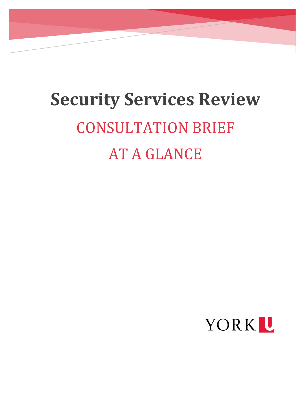# **Security Services Review** CONSULTATION BRIEF AT A GLANCE

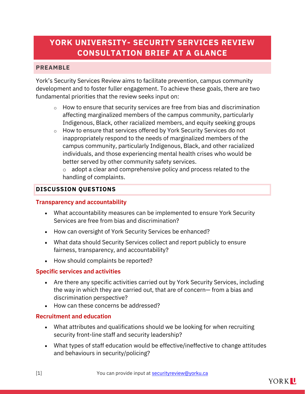# **YORK UNIVERSITY- SECURITY SERVICES REVIEW CONSULTATION BRIEF AT A GLANCE**

## **PREAMBLE**

York's Security Services Review aims to facilitate prevention, campus community development and to foster fuller engagement. To achieve these goals, there are two fundamental priorities that the review seeks input on:

- $\circ$  How to ensure that security services are free from bias and discrimination affecting marginalized members of the campus community, particularly Indigenous, Black, other racialized members, and equity seeking groups
- o How to ensure that services offered by York Security Services do not inappropriately respond to the needs of marginalized members of the campus community, particularly Indigenous, Black, and other racialized individuals, and those experiencing mental health crises who would be better served by other community safety services.

 $\circ$  adopt a clear and comprehensive policy and process related to the handling of complaints.

#### **DISCUSSION QUESTIONS**

#### **Transparency and accountability**

- What accountability measures can be implemented to ensure York Security Services are free from bias and discrimination?
- How can oversight of York Security Services be enhanced?
- What data should Security Services collect and report publicly to ensure fairness, transparency, and accountability?
- How should complaints be reported?

#### **Specific services and activities**

- Are there any specific activities carried out by York Security Services, including the way in which they are carried out, that are of concern— from a bias and discrimination perspective?
- How can these concerns be addressed?

#### **Recruitment and education**

- What attributes and qualifications should we be looking for when recruiting security front-line staff and security leadership?
- What types of staff education would be effective/ineffective to change attitudes and behaviours in security/policing?